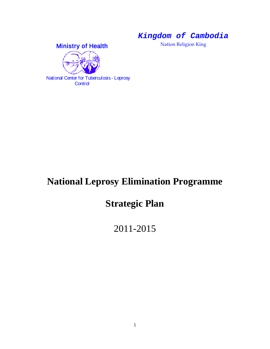*Kingdom of Cambodia*

Nation Religion King





 National Center for Tuberculosis - Leprosy **Control** 

# **National Leprosy Elimination Programme**

# **Strategic Plan**

## 2011-2015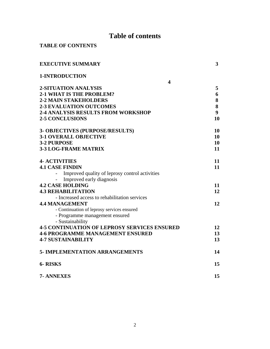## **Table of contents**

|  |  |  | <b>TABLE OF CONTENTS</b> |
|--|--|--|--------------------------|
|--|--|--|--------------------------|

| <b>EXECUTIVE SUMMARY</b>                            | 3  |
|-----------------------------------------------------|----|
| 1-INTRODUCTION                                      |    |
| $\overline{\mathbf{4}}$                             |    |
| 2-SITUATION ANALYSIS                                | 5  |
| <b>2-1 WHAT IS THE PROBLEM?</b>                     | 6  |
| <b>2-2 MAIN STAKEHOLDERS</b>                        | 8  |
| <b>2-3 EVALUATION OUTCOMES</b>                      | 8  |
| <b>2-4 ANALYSIS RESULTS FROM WORKSHOP</b>           | 9  |
| <b>2-5 CONCLUSIONS</b>                              | 10 |
| <b>3- OBJECTIVES (PURPOSE/RESULTS)</b>              | 10 |
| <b>3-1 OVERALL OBJECTIVE</b>                        | 10 |
| 3-2 PURPOSE                                         | 10 |
| <b>3-3 LOG-FRAME MATRIX</b>                         | 11 |
| <b>4- ACTIVITIES</b>                                | 11 |
| <b>4.1 CASE FINDIN</b>                              | 11 |
| Improved quality of leprosy control activities      |    |
| Improved early diagnosis                            |    |
| <b>4.2 CASE HOLDING</b>                             | 11 |
| <b>4.3 REHABILITATION</b>                           | 12 |
| - Increased access to rehabilitation services       |    |
| <b>4.4 MANAGEMENT</b>                               | 12 |
| - Continuation of leprosy services ensured          |    |
| - Programme management ensured                      |    |
| - Sustainability                                    |    |
| <b>4-5 CONTINUATION OF LEPROSY SERVICES ENSURED</b> | 12 |
| <b>4-6 PROGRAMME MANAGEMENT ENSURED</b>             | 13 |
| <b>4-7 SUSTAINABILITY</b>                           | 13 |
| <b>5- IMPLEMENTATION ARRANGEMENTS</b>               | 14 |
| <b>6-RISKS</b>                                      | 15 |
| 7- ANNEXES                                          | 15 |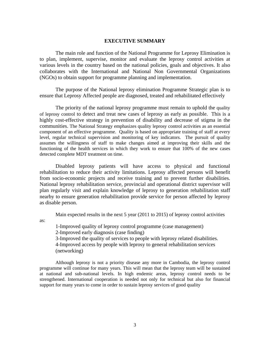#### **EXECUTIVE SUMMARY**

The main role and function of the National Programme for Leprosy Elimination is to plan, implement, supervise, monitor and evaluate the leprosy control activities at various levels in the country based on the national policies, goals and objectives. It also collaborates with the International and National Non Governmental Organizations (NGOs) to obtain support for programme planning and implementation.

The purpose of the National leprosy elimination Programme Strategic plan is to ensure that Leprosy Affected people are diagnosed, treated and rehabilitated effectively

The priority of the national leprosy programme must remain to uphold the quality of leprosy control to detect and treat new cases of leprosy as early as possible. This is a highly cost-effective strategy in prevention of disability and decrease of stigma in the communities. The National Strategy emphasizes quality leprosy control activities as an essential component of an effective programme. Quality is based on appropriate training of staff at every level, regular technical supervision and monitoring of key indicators. The pursuit of quality assumes the willingness of staff to make changes aimed at improving their skills and the functioning of the health services in which they work to ensure that 100% of the new cases detected complete MDT treatment on time.

Disabled leprosy patients will have access to physical and functional rehabilitation to reduce their activity limitations. Leprosy affected persons will benefit from socio-economic projects and receive training and to prevent further disabilities. National leprosy rehabilitation service, provincial and operational district supervisor will plan regularly visit and explain knowledge of leprosy to generation rehabilitation staff nearby to ensure generation rehabilitation provide service for person affected by leprosy as disable person.

Main expected results in the next 5 year (2011 to 2015) of leprosy control activities

as:

1-Improved quality of leprosy control programme (case management) 2-Improved early diagnosis (case finding) 3-Improved the quality of services to people with leprosy related disabilities. 4-Improved access by people with leprosy to general rehabilitation services (networking)

Although leprosy is not a priority disease any more in Cambodia, the leprosy control programme will continue for many years. This will mean that the leprosy team will be sustained at national and sub-national levels. In high endemic areas, leprosy control needs to be strengthened. International cooperation is needed not only for technical but also for financial support for many years to come in order to sustain leprosy services of good quality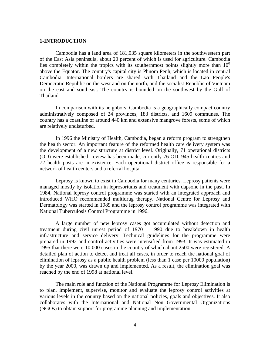#### **1-INTRODUCTION**

Cambodia has a land area of 181,035 square kilometers in the southwestern part of the East Asia peninsula, about 20 percent of which is used for agriculture. Cambodia lies completely within the tropics with its southernmost points slightly more than  $10<sup>0</sup>$ above the Equator. The country's capital city is Phnom Penh, which is located in central Cambodia. International borders are shared with Thailand and the Lao People's Democratic Republic on the west and on the north, and the socialist Republic of Vietnam on the east and southeast. The country is bounded on the southwest by the Gulf of Thailand.

In comparison with its neighbors, Cambodia is a geographically compact country administratively composed of 24 provinces, 183 districts, and 1609 communes. The country has a coastline of around 440 km and extensive mangrove forests, some of which are relatively undisturbed.

In 1996 the Ministry of Health, Cambodia, began a reform program to strengthen the health sector. An important feature of the reformed health care delivery system was the development of a new structure at district level. Originally, 71 operational districts (OD) were established; review has been made, currently 76 OD, 945 health centres and 72 health posts are in existence. Each operational district office is responsible for a network of health centers and a referral hospital

Leprosy is known to exist in Cambodia for many centuries. Leprosy patients were managed mostly by isolation in leprosoriums and treatment with dapsone in the past. In 1984, National leprosy control programme was started with an integrated approach and introduced WHO recommended multidrug therapy. National Centre for Leprosy and Dermatology was started in 1989 and the leprosy control programme was integrated with National Tuberculosis Control Programme in 1996.

A large number of new leprosy cases got accumulated without detection and treatment during civil unrest period of 1970 – 1990 due to breakdown in health infrastructure and service delivery. Technical guidelines for the programme were prepared in 1992 and control activities were intensified from 1993. It was estimated in 1995 that there were 10 000 cases in the country of which about 2500 were registered. A detailed plan of action to detect and treat all cases, in order to reach the national goal of elimination of leprosy as a public health problem (less than 1 case per 10000 population) by the year 2000, was drawn up and implemented. As a result, the elimination goal was reached by the end of 1998 at national level.

The main role and function of the National Programme for Leprosy Elimination is to plan, implement, supervise, monitor and evaluate the leprosy control activities at various levels in the country based on the national policies, goals and objectives. It also collaborates with the International and National Non Governmental Organizations (NGOs) to obtain support for programme planning and implementation.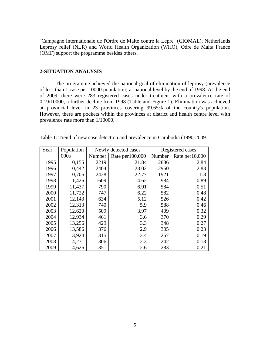''Campagne Internationale de l'Ordre de Malte contre la Lepre'' (CIOMAL), Netherlands Leprosy relief (NLR) and World Health Organization (WHO), Odre de Malta France (OMF) support the programme besides others.

#### **2-SITUATION ANALYSIS**

The programme achieved the national goal of elimination of leprosy (prevalence of less than 1 case per 10000 population) at national level by the end of 1998. At the end of 2009, there were 283 registered cases under treatment with a prevalence rate of 0.19/10000, a further decline from 1998 (Table and Figure 1). Elimination was achieved at provincial level in 23 provinces covering 99.65% of the country's population. However, there are pockets within the provinces at district and health centre level with prevalence rate more than 1/10000.

| Year | Population | Newly detected cases |                  |        | Registered cases |  |
|------|------------|----------------------|------------------|--------|------------------|--|
|      | 000s       | Number               | Rate per 100,000 | Number | Rate per 10,000  |  |
| 1995 | 10,155     | 2219                 | 21.84            | 2886   | 2.84             |  |
| 1996 | 10,442     | 2404                 | 23.02            | 2960   | 2.83             |  |
| 1997 | 10,706     | 2438                 | 22.77            | 1921   | 1.8              |  |
| 1998 | 11,426     | 1609                 | 14.62            | 984    | 0.89             |  |
| 1999 | 11,437     | 790                  | 6.91             | 584    | 0.51             |  |
| 2000 | 11,722     | 747                  | 6.22             | 582    | 0.48             |  |
| 2001 | 12,143     | 634                  | 5.12             | 526    | 0.42             |  |
| 2002 | 12,313     | 740                  | 5.9              | 588    | 0.46             |  |
| 2003 | 12,620     | 509                  | 3.97             | 409    | 0.32             |  |
| 2004 | 12,934     | 461                  | 3.6              | 370    | 0.29             |  |
| 2005 | 13,256     | 429                  | 3.3              | 348    | 0.27             |  |
| 2006 | 13,586     | 376                  | 2.9              | 305    | 0.23             |  |
| 2007 | 13,924     | 315                  | 2.4              | 257    | 0.19             |  |
| 2008 | 14,271     | 306                  | 2.3              | 242    | 0.18             |  |
| 2009 | 14,626     | 351                  | 2.6              | 283    | 0.21             |  |

Table 1: Trend of new case detection and prevalence in Cambodia (1990-2009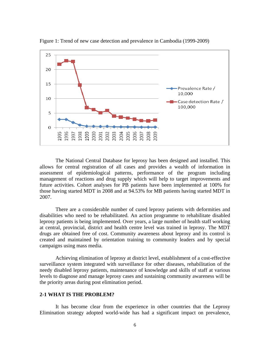

Figure 1: Trend of new case detection and prevalence in Cambodia (1999-2009)

The National Central Database for leprosy has been designed and installed. This allows for central registration of all cases and provides a wealth of information in assessment of epidemiological patterns, performance of the program including management of reactions and drug supply which will help to target improvements and future activities. Cohort analyses for PB patients have been implemented at 100% for those having started MDT in 2008 and at 94.53% for MB patients having started MDT in 2007.

There are a considerable number of cured leprosy patients with deformities and disabilities who need to be rehabilitated. An action programme to rehabilitate disabled leprosy patients is being implemented. Over years, a large number of health staff working at central, provincial, district and health centre level was trained in leprosy. The MDT drugs are obtained free of cost. Community awareness about leprosy and its control is created and maintained by orientation training to community leaders and by special campaigns using mass media.

Achieving elimination of leprosy at district level, establishment of a cost-effective surveillance system integrated with surveillance for other diseases, rehabilitation of the needy disabled leprosy patients, maintenance of knowledge and skills of staff at various levels to diagnose and manage leprosy cases and sustaining community awareness will be the priority areas during post elimination period.

#### **2-1 WHAT IS THE PROBLEM?**

It has become clear from the experience in other countries that the Leprosy Elimination strategy adopted world-wide has had a significant impact on prevalence,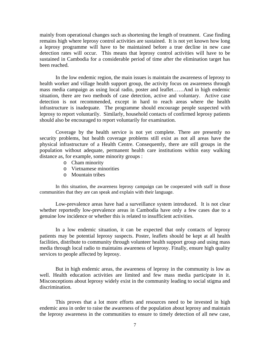mainly from operational changes such as shortening the length of treatment. Case finding remains high where leprosy control activities are sustained. It is not yet known how long a leprosy programme will have to be maintained before a true decline in new case detection rates will occur. This means that leprosy control activities will have to be sustained in Cambodia for a considerable period of time after the elimination target has been reached.

In the low endemic region, the main issues is maintain the awareness of leprosy to health worker and village health support group, the activity focus on awareness through mass media campaign as using local radio, poster and leaflet……And in high endemic situation, there are two methods of case detection, active and voluntary. Active case detection is not recommended, except in hard to reach areas where the health infrastructure is inadequate. The programme should encourage people suspected with leprosy to report voluntarily. Similarly, household contacts of confirmed leprosy patients should also be encouraged to report voluntarily for examination.

Coverage by the health service is not yet complete. There are presently no security problems, but health coverage problems still exist as not all areas have the physical infrastructure of a Health Centre. Consequently, there are still groups in the population without adequate, permanent health care institutions within easy walking distance as, for example, some minority groups :

- o Cham minority
- o Vietnamese minorities
- o Mountain tribes

In this situation, the awareness leprosy campaign can be cooperated with staff in those communities that they are can speak and explain with their language.

Low-prevalence areas have had a surveillance system introduced. It is not clear whether reportedly low-prevalence areas in Cambodia have only a few cases due to a genuine low incidence or whether this is related to insufficient activities.

In a low endemic situation, it can be expected that only contacts of leprosy patients may be potential leprosy suspects. Poster, leaflets should be kept at all health facilities, distribute to community through volunteer health support group and using mass media through local radio to maintains awareness of leprosy. Finally, ensure high quality services to people affected by leprosy.

But in high endemic areas, the awareness of leprosy in the community is low as well. Health education activities are limited and few mass media participate in it. Misconceptions about leprosy widely exist in the community leading to social stigma and discrimination.

This proves that a lot more efforts and resources need to be invested in high endemic area in order to raise the awareness of the population about leprosy and maintain the leprosy awareness in the communities to ensure to timely detection of all new case,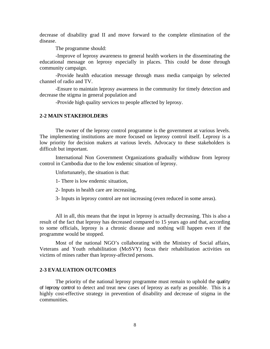decrease of disability grad II and move forward to the complete elimination of the disease.

The programme should:

-Improve of leprosy awareness to general health workers in the disseminating the educational message on leprosy especially in places. This could be done through community campaign.

-Provide health education message through mass media campaign by selected channel of radio and TV.

-Ensure to maintain leprosy awareness in the community for timely detection and decrease the stigma in general population and

-Provide high quality services to people affected by leprosy.

#### **2-2 MAIN STAKEHOLDERS**

The owner of the leprosy control programme is the government at various levels. The implementing institutions are more focused on leprosy control itself. Leprosy is a low priority for decision makers at various levels. Advocacy to these stakeholders is difficult but important.

International Non Government Organizations gradually withdraw from leprosy control in Cambodia due to the low endemic situation of leprosy.

Unfortunately, the situation is that:

1- There is low endemic situation,

2- Inputs in health care are increasing,

3- Inputs in leprosy control are not increasing (even reduced in some areas).

All in all, this means that the input in leprosy is actually decreasing. This is also a result of the fact that leprosy has decreased compared to 15 years ago and that, according to some officials, leprosy is a chronic disease and nothing will happen even if the programme would be stopped.

Most of the national NGO's collaborating with the Ministry of Social affairs, Veterans and Youth rehabilitation (MoSVY) focus their rehabilitation activities on victims of mines rather than leprosy-affected persons.

## **2-3 EVALUATION OUTCOMES**

The priority of the national leprosy programme must remain to uphold the quality of leprosy control to detect and treat new cases of leprosy as early as possible. This is a highly cost-effective strategy in prevention of disability and decrease of stigma in the communities.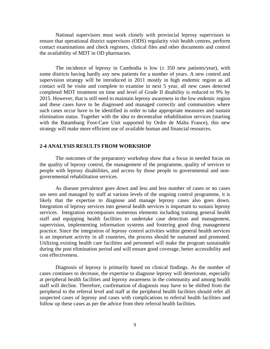National supervisors must work closely with provincial leprosy supervisors to ensure that operational district supervisors (ODS) regularity visit health centres, perform contact examinations and check registers, clinical files and other documents and control the availability of MDT in OD pharmacies.

The incidence of leprosy in Cambodia is low  $(\pm 350 \text{ new patients/year})$ , with some districts having hardly any new patients for a number of years. A new control and supervision strategy will be introduced in 2011 mostly in high endemic region as all contact will be visite and complete to examine in next 5 year, all new cases detected completed MDT treatment on time and level of Grade II disability is reduced to 9% by 2015. However, that is still need to maintain leprosy awareness in the low endemic region and these cases have to be diagnosed and managed correctly and communities where such cases occur have to be identified in order to take appropriate measures and sustain elimination status. Together with the idea to decentralise rehabilitation services (starting with the Batambang Foot-Care Unit supported by Ordre de Malta France), this new strategy will make more efficient use of available human and financial resources.

#### **2-4 ANALYSIS RESULTS FROM WORKSHOP**

The outcomes of the preparatory workshop show that a focus in needed focus on the quality of leprosy control, the management of the programme, quality of services to people with leprosy disabilities, and access by those people to governmental and nongovernmental rehabilitation services.

As disease prevalence goes down and less and less number of cases or no cases are seen and managed by staff at various levels of the ongoing control programme, it is likely that the expertise to diagnose and manage leprosy cases also goes down. Integration of leprosy services into general health services is important to sustain leprosy services. Integration encompasses numerous elements including training general health staff and equipping health facilities to undertake case detection and management, supervision, implementing information systems and fostering good drug management practice. Since the integration of leprosy control activities within general health services is an important activity in all countries, the process should be sustained and promoted. Utilizing existing health care facilities and personnel will make the program sustainable during the post elimination period and will ensure good coverage, better accessibility and cost effectiveness.

Diagnosis of leprosy is primarily based on clinical findings. As the number of cases continues to decrease, the expertise to diagnose leprosy will deteriorate, especially at peripheral health facilities and leprosy awareness in the community and among health staff will decline. Therefore, confirmation of diagnosis may have to be shifted from the peripheral to the referral level and staff at the peripheral health facilities should refer all suspected cases of leprosy and cases with complications to referral health facilities and follow up these cases as per the advice from their referral health facilities.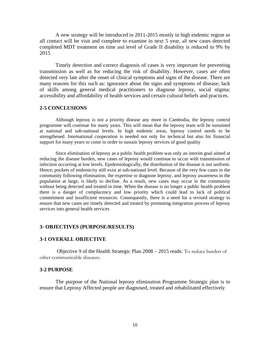A new strategy will be introduced in 2011-2015 mostly in high endemic region as all contact will be visit and complete to examine in next 5 year, all new cases detected completed MDT treatment on time and level of Grade II disability is reduced to 9% by 2015

Timely detection and correct diagnosis of cases is very important for preventing transmission as well as for reducing the risk of disability. However, cases are often detected very late after the onset of clinical symptoms and signs of the disease. There are many reasons for this such as: ignorance about the signs and symptoms of disease; lack of skills among general medical practitioners to diagnose leprosy, social stigma; accessibility and affordability of health services and certain cultural beliefs and practices.

## **2-5 CONCLUSIONS**

Although leprosy is not a priority disease any more in Cambodia, the leprosy control programme will continue for many years. This will mean that the leprosy team will be sustained at national and sub-national levels. In high endemic areas, leprosy control needs to be strengthened. International cooperation is needed not only for technical but also for financial support for many years to come in order to sustain leprosy services of good quality

Since elimination of leprosy as a public health problem was only an interim goal aimed at reducing the disease burden, new cases of leprosy would continue to occur with transmission of infection occurring at low levels. Epidemiologically, the distribution of the disease is not uniform. Hence, pockets of endemicity still exist at sub-national level. Because of the very few cases in the community following elimination, the expertise to diagnose leprosy, and leprosy awareness in the population at large, is likely to decline. As a result, new cases may occur in the community without being detected and treated in time. When the disease is no longer a public health problem there is a danger of complacency and low priority which could lead to lack of political commitment and insufficient resources. Consequently, there is a need for a revised strategy to ensure that new cases are timely detected and treated by promoting integration process of leprosy services into general health services

#### **3- OBJECTIVES (PURPOSE/RESULTS)**

#### **3-1 OVERALL OBJECTIVE**

Objective 9 of the Health Strategic Plan 2008 – 2015 reads: To reduce burden of other communicable diseases.

#### **3-2 PURPOSE**

The purpose of the National leprosy elimination Programme Strategic plan is to ensure that Leprosy Affected people are diagnosed, treated and rehabilitated effectively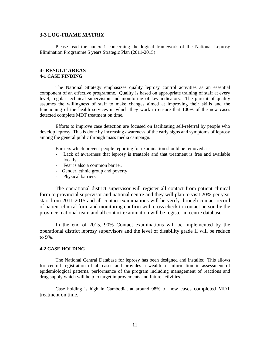#### **3-3 LOG-FRAME MATRIX**

Please read the annex 1 concerning the logical framework of the National Leprosy Elimination Programme 5 years Strategic Plan (2011-2015)

#### **4- RESULT AREAS 4-1 CASE FINDING**

The National Strategy emphasizes quality leprosy control activities as an essential component of an effective programme. Quality is based on appropriate training of staff at every level, regular technical supervision and monitoring of key indicators. The pursuit of quality assumes the willingness of staff to make changes aimed at improving their skills and the functioning of the health services in which they work to ensure that 100% of the new cases detected complete MDT treatment on time.

Efforts to improve case detection are focused on facilitating self-referral by people who develop leprosy. This is done by increasing awareness of the early signs and symptoms of leprosy among the general public through mass media campaign.

Barriers which prevent people reporting for examination should be removed as:

- Lack of awareness that leprosy is treatable and that treatment is free and available locally.
- Fear is also a common barrier.
- Gender, ethnic group and poverty
- Physical barriers

The operational district supervisor will register all contact from patient clinical form to provincial supervisor and national centre and they will plan to visit 20% per year start from 2011-2015 and all contact examinations will be verify through contact record of patient clinical form and monitoring confirm with cross check to contact person by the province, national team and all contact examination will be register in centre database.

In the end of 2015, 90% Contact examinations will be implemented by the operational district leprosy supervisors and the level of disability grade II will be reduce to 9%.

#### **4-2 CASE HOLDING**

The National Central Database for leprosy has been designed and installed. This allows for central registration of all cases and provides a wealth of information in assessment of epidemiological patterns, performance of the program including management of reactions and drug supply which will help to target improvements and future activities.

Case holding is high in Cambodia, at around 98% of new cases completed MDT treatment on time.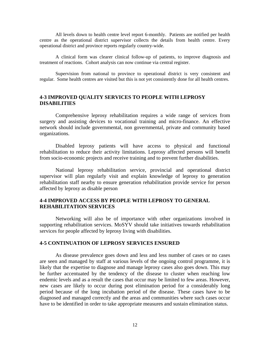All levels down to health centre level report 6-monthly. Patients are notified per health centre as the operational district supervisor collects the details from health centre. Every operational district and province reports regularly country-wide.

A clinical form was clearer clinical follow-up of patients, to improve diagnosis and treatment of reactions. Cohort analysis can now continue via central register.

Supervision from national to province to operational district is very consistent and regular. Some health centres are visited but this is not yet consistently done for all health centres.

## **4-3 IMPROVED QUALITY SERVICES TO PEOPLE WITH LEPROSY DISABILITIES**

Comprehensive leprosy rehabilitation requires a wide range of services from surgery and assisting devices to vocational training and micro-finance. An effective network should include governmental, non governmental, private and community based organizations.

Disabled leprosy patients will have access to physical and functional rehabilitation to reduce their activity limitations. Leprosy affected persons will benefit from socio-economic projects and receive training and to prevent further disabilities.

National leprosy rehabilitation service, provincial and operational district supervisor will plan regularly visit and explain knowledge of leprosy to generation rehabilitation staff nearby to ensure generation rehabilitation provide service for person affected by leprosy as disable person

## **4-4 IMPROVED ACCESS BY PEOPLE WITH LEPROSY TO GENERAL REHABILITATION SERVICES**

Networking will also be of importance with other organizations involved in supporting rehabilitation services. MoSYV should take initiatives towards rehabilitation services for people affected by leprosy living with disabilities.

#### **4-5 CONTINUATION OF LEPROSY SERVICES ENSURED**

As disease prevalence goes down and less and less number of cases or no cases are seen and managed by staff at various levels of the ongoing control programme, it is likely that the expertise to diagnose and manage leprosy cases also goes down. This may be further accentuated by the tendency of the disease to cluster when reaching low endemic levels and as a result the cases that occur may be limited to few areas. However, new cases are likely to occur during post elimination period for a considerably long period because of the long incubation period of the disease. These cases have to be diagnosed and managed correctly and the areas and communities where such cases occur have to be identified in order to take appropriate measures and sustain elimination status.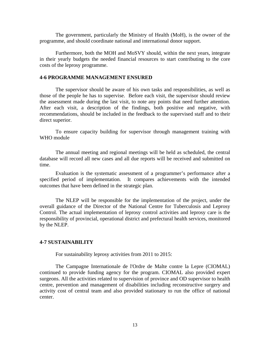The government, particularly the Ministry of Health (MoH), is the owner of the programme, and should coordinate national and international donor support.

Furthermore, both the MOH and MoSVY should, within the next years, integrate in their yearly budgets the needed financial resources to start contributing to the core costs of the leprosy programme.

#### **4-6 PROGRAMME MANAGEMENT ENSURED**

The supervisor should be aware of his own tasks and responsibilities, as well as those of the people he has to supervise. Before each visit, the supervisor should review the assessment made during the last visit, to note any points that need further attention. After each visit, a description of the findings, both positive and negative, with recommendations, should be included in the feedback to the supervised staff and to their direct superior.

To ensure capacity building for supervisor through management training with WHO module

The annual meeting and regional meetings will be held as scheduled, the central database will record all new cases and all due reports will be received and submitted on time.

Evaluation is the systematic assessment of a programmer's performance after a specified period of implementation. It compares achievements with the intended outcomes that have been defined in the strategic plan.

The NLEP will be responsible for the implementation of the project, under the overall guidance of the Director of the National Centre for Tuberculosis and Leprosy Control. The actual implementation of leprosy control activities and leprosy care is the responsibility of provincial, operational district and prefectural health services, monitored by the NLEP.

#### **4-7 SUSTAINABILITY**

For sustainability leprosy activities from 2011 to 2015:

The Campagne Internationale de l'Ordre de Malte contre la Lepre (CIOMAL) continued to provide funding agency for the program. CIOMAL also provided expert surgeons. All the activities related to supervision of province and OD supervisor to health centre, prevention and management of disabilities including reconstructive surgery and activity cost of central team and also provided stationary to run the office of national center.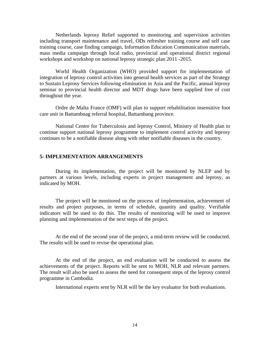Netherlands leprosy Relief supported to monitoring and supervision activities including transport maintenance and travel, ODs refresher training course and self case training course, case finding campaign, Information Education Communication materials, mass media campaign through local radio, provincial and operational district regional workshops and workshop on national leprosy strategic plan 2011 -2015.

World Health Organization (WHO) provided support for implementation of integration of leprosy control activities into general health services as part of the Strategy to Sustain Leprosy Services following elimination in Asia and the Pacific, annual leprosy seminar to provincial health director and MDT drugs have been supplied free of cost throughout the year.

Ordre de Malta France (OMF) will plan to support rehabilitation insensitive foot care unit in Battambnag referral hospital, Battambang province.

National Centre for Tuberculosis and leprosy Control, Ministry of Health plan to continue support national leprosy programme to implement control activity and leprosy continues to be a notifiable disease along with other notifiable diseases in the country.

#### **5- IMPLEMENTATION ARRANGEMENTS**

During its implementation, the project will be monitored by NLEP and by partners at various levels, including experts in project management and leprosy, as indicated by MOH.

The project will be monitored on the process of implementation, achievement of results and project purposes, in terms of schedule, quantity and quality. Verifiable indicators will be used to do this. The results of monitoring will be used to improve planning and implementation of the next steps of the project.

At the end of the second year of the project, a mid-term review will be conducted. The results will be used to revise the operational plan.

At the end of the project, an end evaluation will be conducted to assess the achievements of the project. Reports will be sent to MOH, NLR and relevant partners. The result will also be used to assess the need for consequent steps of the leprosy control programme in Cambodia.

International experts sent by NLR will be the key evaluator for both evaluations.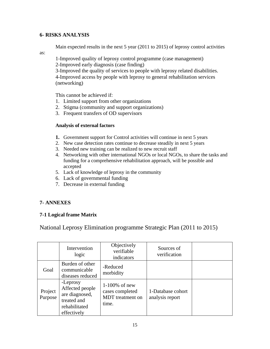## **6- RISKS ANALYSIS**

Main expected results in the next 5 year (2011 to 2015) of leprosy control activities

as:

1-Improved quality of leprosy control programme (case management)

2-Improved early diagnosis (case finding)

3-Improved the quality of services to people with leprosy related disabilities. 4-Improved access by people with leprosy to general rehabilitation services (networking)

This cannot be achieved if:

- 1. Limited support from other organizations
- 2. Stigma (community and support organizations)
- 3. Frequent transfers of OD supervisors

## **Analysis of external factors**

- **1.** Government support for Control activities will continue in next 5 years
- 2. New case detection rates continue to decrease steadily in next 5 years
- 3. Needed new training can be realized to new recruit staff
- 4. Networking with other international NGOs or local NGOs, to share the tasks and funding for a comprehensive rehabilitation approach, will be possible and accepted
- 5. Lack of knowledge of leprosy in the community
- 6. Lack of governmental funding
- 7. Decrease in external funding

## **7- ANNEXES**

## **7-1 Logical frame Matrix**

National Leprosy Elimination programme Strategic Plan (2011 to 2015)

|                    | Intervention<br>logic                                                                        | Objectively<br>verifiable<br>indicators                                 | Sources of<br>verification           |  |
|--------------------|----------------------------------------------------------------------------------------------|-------------------------------------------------------------------------|--------------------------------------|--|
| Goal               | Burden of other<br>communicable<br>diseases reduced                                          | -Reduced<br>morbidity                                                   |                                      |  |
| Project<br>Purpose | -Leprosy<br>Affected people<br>are diagnosed,<br>treated and<br>rehabilitated<br>effectively | $1-100\%$ of new<br>cases completed<br><b>MDT</b> treatment on<br>time. | 1-Database cohort<br>analysis report |  |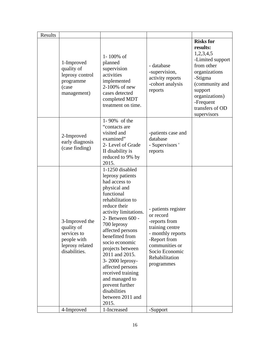| <b>Risks for</b><br>results:<br>1,2,3,4,5<br>1-100% of<br>1-Improved<br>planned<br>from other<br>- database<br>quality of<br>supervision<br>-supervision,<br>organizations<br>activities<br>leprosy control<br>activity reports<br>-Stigma<br>implemented<br>programme<br>-cohort analysis<br>2-100% of new<br>(case<br>reports<br>support<br>cases detected<br>management)                                                                                                                                                                                                                                                                                                                                                                                  | -Limited support<br>(community and |
|--------------------------------------------------------------------------------------------------------------------------------------------------------------------------------------------------------------------------------------------------------------------------------------------------------------------------------------------------------------------------------------------------------------------------------------------------------------------------------------------------------------------------------------------------------------------------------------------------------------------------------------------------------------------------------------------------------------------------------------------------------------|------------------------------------|
| organizations)<br>completed MDT<br>-Frequent<br>treatment on time.<br>transfers of OD<br>supervisors                                                                                                                                                                                                                                                                                                                                                                                                                                                                                                                                                                                                                                                         |                                    |
| 1-90% of the<br>"contacts are<br>visited and<br>-patients case and<br>2-Improved<br>examined"<br>database<br>early diagnosis<br>2- Level of Grade<br>- Supervisors '<br>(case finding)<br>II disability is<br>reports<br>reduced to 9% by<br>2015.                                                                                                                                                                                                                                                                                                                                                                                                                                                                                                           |                                    |
| 1-1250 disabled<br>leprosy patients<br>had access to<br>physical and<br>functional<br>rehabilitation to<br>reduce their<br>- patients register<br>activity limitations.<br>or record<br>2- Between 600 -<br>3-Improved the<br>-reports from<br>700 leprosy<br>training centre<br>quality of<br>affected persons<br>- monthly reports<br>services to<br>benefitted from<br>people with<br>-Report from<br>socio economic<br>leprosy related<br>communities or<br>projects between<br>disabilities.<br>Socio Economic<br>2011 and 2015.<br>Rehabilitation<br>3-2000 leprosy-<br>programmes<br>affected persons<br>received training<br>and managed to<br>prevent further<br>disabilities<br>between 2011 and<br>2015.<br>1-Increased<br>4-Improved<br>-Support |                                    |